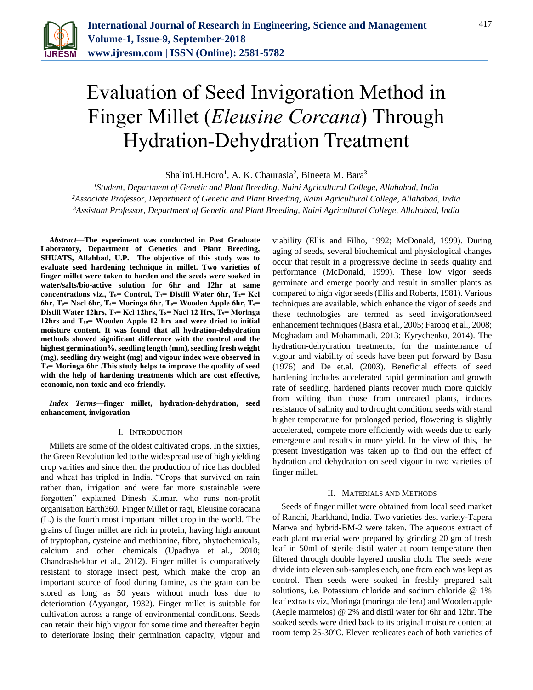

# Evaluation of Seed Invigoration Method in Finger Millet (*Eleusine Corcana*) Through Hydration-Dehydration Treatment

Shalini.H.Horo<sup>1</sup>, A. K. Chaurasia<sup>2</sup>, Bineeta M. Bara<sup>3</sup>

*<sup>1</sup>Student, Department of Genetic and Plant Breeding, Naini Agricultural College, Allahabad, India <sup>2</sup>Associate Professor, Department of Genetic and Plant Breeding, Naini Agricultural College, Allahabad, India <sup>3</sup>Assistant Professor, Department of Genetic and Plant Breeding, Naini Agricultural College, Allahabad, India*

*Abstract***—The experiment was conducted in Post Graduate Laboratory, Department of Genetics and Plant Breeding, SHUATS, Allahbad, U.P. The objective of this study was to evaluate seed hardening technique in millet. Two varieties of finger millet were taken to harden and the seeds were soaked in water/salts/bio-active solution for 6hr and 12hr at same concentrations viz., T₀= Control, T₁= Distill Water 6hr, T₂= Kcl**  6hr,  $T_3$ = Nacl 6hr,  $T_4$ = Moringa 6hr,  $T_5$ = Wooden Apple 6hr,  $T_6$ = **Distill Water 12hrs, T**<sub>7</sub> Kcl 12hrs, T<sub>8</sub> Nacl 12 Hrs, T<sub>9</sub> = Moringa **12hrs and T₁₀= Wooden Apple 12 hrs and were dried to initial moisture content. It was found that all hydration-dehydration methods showed significant difference with the control and the highest germination%, seedling length (mm), seedling fresh weight (mg), seedling dry weight (mg) and vigour index were observed in T₄= Moringa 6hr .This study helps to improve the quality of seed with the help of hardening treatments which are cost effective, economic, non-toxic and eco-friendly.**

*Index Terms***—finger millet, hydration-dehydration, seed enhancement, invigoration**

## I. INTRODUCTION

Millets are some of the oldest cultivated crops. In the sixties, the Green Revolution led to the widespread use of high yielding crop varities and since then the production of rice has doubled and wheat has tripled in India. "Crops that survived on rain rather than, irrigation and were far more sustainable were forgotten" explained Dinesh Kumar, who runs non-profit organisation Earth360. Finger Millet or ragi, Eleusine coracana (L.) is the fourth most important millet crop in the world. The grains of finger millet are rich in protein, having high amount of tryptophan, cysteine and methionine, fibre, phytochemicals, calcium and other chemicals (Upadhya et al., 2010; Chandrashekhar et al., 2012). Finger millet is comparatively resistant to storage insect pest, which make the crop an important source of food during famine, as the grain can be stored as long as 50 years without much loss due to deterioration (Ayyangar, 1932). Finger millet is suitable for cultivation across a range of environmental conditions. Seeds can retain their high vigour for some time and thereafter begin to deteriorate losing their germination capacity, vigour and

viability (Ellis and Filho, 1992; McDonald, 1999). During aging of seeds, several biochemical and physiological changes occur that result in a progressive decline in seeds quality and performance (McDonald, 1999). These low vigor seeds germinate and emerge poorly and result in smaller plants as compared to high vigor seeds(Ellis and Roberts, 1981). Various techniques are available, which enhance the vigor of seeds and these technologies are termed as seed invigoration/seed enhancement techniques (Basra et al., 2005; Farooq et al., 2008; Moghadam and Mohammadi, 2013; Kyrychenko, 2014). The hydration-dehydration treatments, for the maintenance of vigour and viability of seeds have been put forward by Basu (1976) and De et.al. (2003). Beneficial effects of seed hardening includes accelerated rapid germination and growth rate of seedling, hardened plants recover much more quickly from wilting than those from untreated plants, induces resistance of salinity and to drought condition, seeds with stand higher temperature for prolonged period, flowering is slightly accelerated, compete more efficiently with weeds due to early emergence and results in more yield. In the view of this, the present investigation was taken up to find out the effect of hydration and dehydration on seed vigour in two varieties of finger millet.

# II. MATERIALS AND METHODS

Seeds of finger millet were obtained from local seed market of Ranchi, Jharkhand, India. Two varieties desi variety-Tapera Marwa and hybrid-BM-2 were taken. The aqueous extract of each plant material were prepared by grinding 20 gm of fresh leaf in 50ml of sterile distil water at room temperature then filtered through double layered muslin cloth. The seeds were divide into eleven sub-samples each, one from each was kept as control. Then seeds were soaked in freshly prepared salt solutions, i.e. Potassium chloride and sodium chloride @ 1% leaf extracts viz, Moringa (moringa oleifera) and Wooden apple (Aegle marmelos) @ 2% and distil water for 6hr and 12hr. The soaked seeds were dried back to its original moisture content at room temp 25-30ºC. Eleven replicates each of both varieties of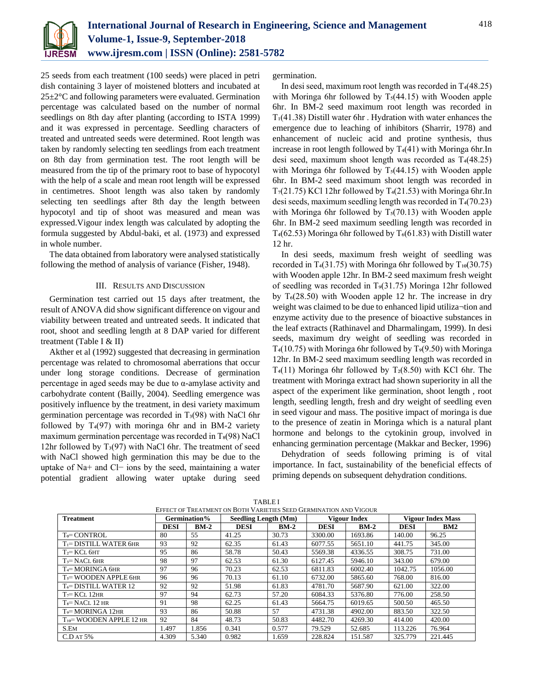

25 seeds from each treatment (100 seeds) were placed in petri dish containing 3 layer of moistened blotters and incubated at  $25 \pm 2$ °C and following parameters were evaluated. Germination percentage was calculated based on the number of normal seedlings on 8th day after planting (according to ISTA 1999) and it was expressed in percentage. Seedling characters of treated and untreated seeds were determined. Root length was taken by randomly selecting ten seedlings from each treatment on 8th day from germination test. The root length will be measured from the tip of the primary root to base of hypocotyl with the help of a scale and mean root length will be expressed in centimetres. Shoot length was also taken by randomly selecting ten seedlings after 8th day the length between hypocotyl and tip of shoot was measured and mean was expressed.Vigour index length was calculated by adopting the formula suggested by Abdul-baki, et al. (1973) and expressed in whole number.

The data obtained from laboratory were analysed statistically following the method of analysis of variance (Fisher, 1948).

# III. RESULTS AND DISCUSSION

Germination test carried out 15 days after treatment, the result of ANOVA did show significant difference on vigour and viability between treated and untreated seeds. It indicated that root, shoot and seedling length at 8 DAP varied for different treatment (Table I & II)

Akther et al (1992) suggested that decreasing in germination percentage was related to chromosomal aberrations that occur under long storage conditions. Decrease of germination percentage in aged seeds may be due to α-amylase activity and carbohydrate content (Bailly, 2004). Seedling emergence was positively influence by the treatment, in desi variety maximum germination percentage was recorded in  $T<sub>3</sub>(98)$  with NaCl 6hr followed by  $T<sub>4</sub>(97)$  with moringa 6hr and in BM-2 variety maximum germination percentage was recorded in  $T_8(98)$  NaCl 12hr followed by  $T_3(97)$  with NaCl 6hr. The treatment of seed with NaCl showed high germination this may be due to the uptake of Na+ and Cl− ions by the seed, maintaining a water potential gradient allowing water uptake during seed

germination.

In desi seed, maximum root length was recorded in T<sub>4</sub>(48.25) with Moringa 6hr followed by  $T<sub>5</sub>(44.15)$  with Wooden apple 6hr. In BM-2 seed maximum root length was recorded in  $T<sub>1</sub>(41.38)$  Distill water 6hr. Hydration with water enhances the emergence due to leaching of inhibitors (Sharrir, 1978) and enhancement of nucleic acid and protine synthesis, thus increase in root length followed by  $T_4(41)$  with Moringa 6hr.In desi seed, maximum shoot length was recorded as  $T<sub>4</sub>(48.25)$ with Moringa 6hr followed by  $T<sub>5</sub>(44.15)$  with Wooden apple 6hr. In BM-2 seed maximum shoot length was recorded in  $T_7(21.75)$  KCl 12hr followed by T<sub>4</sub>(21.53) with Moringa 6hr.In desi seeds, maximum seedling length was recorded in  $T<sub>4</sub>(70.23)$ with Moringa 6hr followed by  $T<sub>5</sub>(70.13)$  with Wooden apple 6hr. In BM-2 seed maximum seedling length was recorded in  $T_{4}(62.53)$  Moringa 6hr followed by  $T_{6}(61.83)$  with Distill water 12 hr.

In desi seeds, maximum fresh weight of seedling was recorded in T $_4$ (31.75) with Moringa 6hr followed by T $_{10}$ (30.75) with Wooden apple 12hr. In BM-2 seed maximum fresh weight of seedling was recorded in  $T_9(31.75)$  Moringa 12hr followed by  $T<sub>6</sub>(28.50)$  with Wooden apple 12 hr. The increase in dry weight was claimed to be due to enhanced lipid utiliza¬tion and enzyme activity due to the presence of bioactive substances in the leaf extracts (Rathinavel and Dharmalingam, 1999). In desi seeds, maximum dry weight of seedling was recorded in  $T<sub>4</sub>(10.75)$  with Moringa 6hr followed by  $T<sub>9</sub>(9.50)$  with Moringa 12hr. In BM-2 seed maximum seedling length was recorded in T<sub>4</sub>(11) Moringa 6hr followed by T<sub>2</sub>(8.50) with KCl 6hr. The treatment with Moringa extract had shown superiority in all the aspect of the experiment like germination, shoot length , root length, seedling length, fresh and dry weight of seedling even in seed vigour and mass. The positive impact of moringa is due to the presence of zeatin in Moringa which is a natural plant hormone and belongs to the cytokinin group, involved in enhancing germination percentage (Makkar and Becker, 1996)

Dehydration of seeds following priming is of vital importance. In fact, sustainability of the beneficial effects of priming depends on subsequent dehydration conditions.

| EFFECT OF TREATMENT ON BOTH VARIETIES SEED GERMINATION AND VIGOUR |              |        |                             |        |              |         |                          |         |  |  |
|-------------------------------------------------------------------|--------------|--------|-----------------------------|--------|--------------|---------|--------------------------|---------|--|--|
| <b>Treatment</b>                                                  | Germination% |        | <b>Seedling Length (Mm)</b> |        | Vigour Index |         | <b>Vigour Index Mass</b> |         |  |  |
|                                                                   | <b>DESI</b>  | $BM-2$ | <b>DESI</b>                 | $BM-2$ | <b>DESI</b>  | $BM-2$  | <b>DESI</b>              | BM2     |  |  |
| $To = CONTROL$                                                    | 80           | 55     | 41.25                       | 30.73  | 3300.00      | 1693.86 | 140.00                   | 96.25   |  |  |
| T <sub>1</sub> = DISTILL WATER 6HR                                | 93           | 92     | 62.35                       | 61.43  | 6077.55      | 5651.10 | 441.75                   | 345.00  |  |  |
| $T_2$ = KCL 6HT                                                   | 95           | 86     | 58.78                       | 50.43  | 5569.38      | 4336.55 | 308.75                   | 731.00  |  |  |
| $T_3$ = NACL 6HR                                                  | 98           | 97     | 62.53                       | 61.30  | 6127.45      | 5946.10 | 343.00                   | 679.00  |  |  |
| T <sub>4</sub> = MORINGA 6HR                                      | 97           | 96     | 70.23                       | 62.53  | 6811.83      | 6002.40 | 1042.75                  | 1056.00 |  |  |
| T <sub>5</sub> = WOODEN APPLE 6HR                                 | 96           | 96     | 70.13                       | 61.10  | 6732.00      | 5865.60 | 768.00                   | 816.00  |  |  |
| T <sub>6</sub> = DISTILL WATER 12                                 | 92           | 92     | 51.98                       | 61.83  | 4781.70      | 5687.90 | 621.00                   | 322.00  |  |  |
| $T_7 = KCL 12HR$                                                  | 97           | 94     | 62.73                       | 57.20  | 6084.33      | 5376.80 | 776.00                   | 258.50  |  |  |
| $Ts = NACL 12 HR$                                                 | 91           | 98     | 62.25                       | 61.43  | 5664.75      | 6019.65 | 500.50                   | 465.50  |  |  |
| T9= MORINGA 12HR                                                  | 93           | 86     | 50.88                       | 57     | 4731.38      | 4902.00 | 883.50                   | 322.50  |  |  |
| T <sub>10</sub> = WOODEN APPLE 12 HR                              | 92           | 84     | 48.73                       | 50.83  | 4482.70      | 4269.30 | 414.00                   | 420.00  |  |  |
| S.EM                                                              | 1.497        | 1.856  | 0.341                       | 0.577  | 79.529       | 52.685  | 113.226                  | 76.964  |  |  |
| C.D AT 5%                                                         | 4.309        | 5.340  | 0.982                       | 1.659  | 228.824      | 151.587 | 325.779                  | 221.445 |  |  |

TABLE I